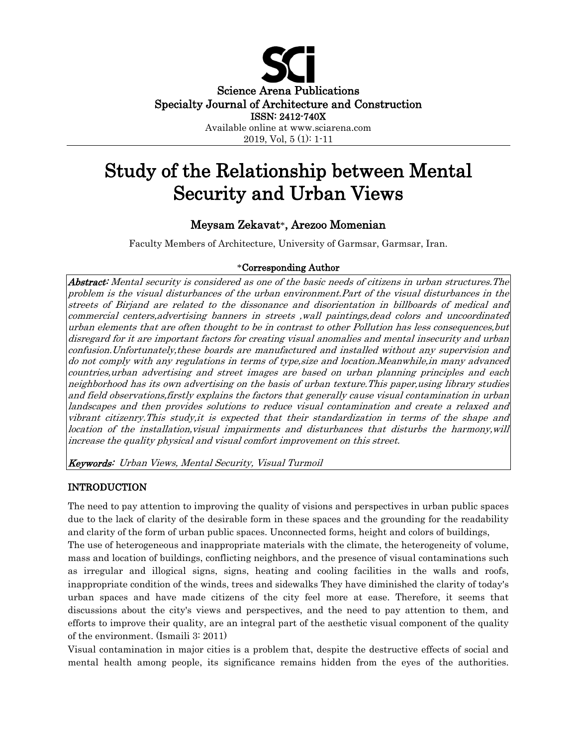

# Study of the Relationship between Mental Security and Urban Views

## Meysam Zekavat\*, Arezoo Momenian

Faculty Members of Architecture, University of Garmsar, Garmsar, Iran.

## \*Corresponding Author

Abstract: Mental security is considered as one of the basic needs of citizens in urban structures. The problem is the visual disturbances of the urban environment.Part of the visual disturbances in the streets of Birjand are related to the dissonance and disorientation in billboards of medical and commercial centers,advertising banners in streets ,wall paintings,dead colors and uncoordinated urban elements that are often thought to be in contrast to other Pollution has less consequences,but disregard for it are important factors for creating visual anomalies and mental insecurity and urban confusion.Unfortunately,these boards are manufactured and installed without any supervision and do not comply with any regulations in terms of type,size and location.Meanwhile,in many advanced countries,urban advertising and street images are based on urban planning principles and each neighborhood has its own advertising on the basis of urban texture.This paper,using library studies and field observations,firstly explains the factors that generally cause visual contamination in urban landscapes and then provides solutions to reduce visual contamination and create a relaxed and vibrant citizenry.This study,it is expected that their standardization in terms of the shape and location of the installation,visual impairments and disturbances that disturbs the harmony,will increase the quality physical and visual comfort improvement on this street.

Keywords: Urban Views, Mental Security, Visual Turmoil

#### INTRODUCTION

The need to pay attention to improving the quality of visions and perspectives in urban public spaces due to the lack of clarity of the desirable form in these spaces and the grounding for the readability and clarity of the form of urban public spaces. Unconnected forms, height and colors of buildings, The use of heterogeneous and inappropriate materials with the climate, the heterogeneity of volume, mass and location of buildings, conflicting neighbors, and the presence of visual contaminations such as irregular and illogical signs, signs, heating and cooling facilities in the walls and roofs, inappropriate condition of the winds, trees and sidewalks They have diminished the clarity of today's urban spaces and have made citizens of the city feel more at ease. Therefore, it seems that discussions about the city's views and perspectives, and the need to pay attention to them, and efforts to improve their quality, are an integral part of the aesthetic visual component of the quality of the environment. (Ismaili 3: 2011)

Visual contamination in major cities is a problem that, despite the destructive effects of social and mental health among people, its significance remains hidden from the eyes of the authorities.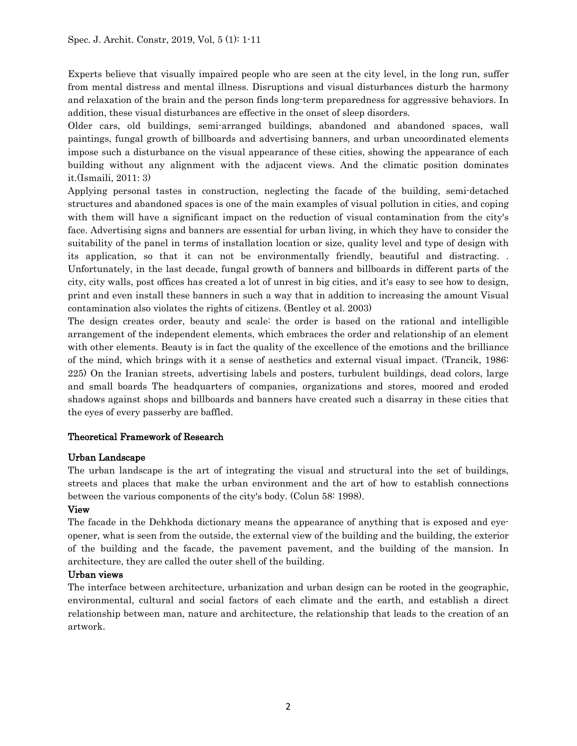Experts believe that visually impaired people who are seen at the city level, in the long run, suffer from mental distress and mental illness. Disruptions and visual disturbances disturb the harmony and relaxation of the brain and the person finds long-term preparedness for aggressive behaviors. In addition, these visual disturbances are effective in the onset of sleep disorders.

Older cars, old buildings, semi-arranged buildings, abandoned and abandoned spaces, wall paintings, fungal growth of billboards and advertising banners, and urban uncoordinated elements impose such a disturbance on the visual appearance of these cities, showing the appearance of each building without any alignment with the adjacent views. And the climatic position dominates it.(Ismaili, 2011: 3)

Applying personal tastes in construction, neglecting the facade of the building, semi-detached structures and abandoned spaces is one of the main examples of visual pollution in cities, and coping with them will have a significant impact on the reduction of visual contamination from the city's face. Advertising signs and banners are essential for urban living, in which they have to consider the suitability of the panel in terms of installation location or size, quality level and type of design with its application, so that it can not be environmentally friendly, beautiful and distracting. . Unfortunately, in the last decade, fungal growth of banners and billboards in different parts of the city, city walls, post offices has created a lot of unrest in big cities, and it's easy to see how to design, print and even install these banners in such a way that in addition to increasing the amount Visual contamination also violates the rights of citizens. (Bentley et al. 2003)

The design creates order, beauty and scale: the order is based on the rational and intelligible arrangement of the independent elements, which embraces the order and relationship of an element with other elements. Beauty is in fact the quality of the excellence of the emotions and the brilliance of the mind, which brings with it a sense of aesthetics and external visual impact. (Trancik, 1986: 225) On the Iranian streets, advertising labels and posters, turbulent buildings, dead colors, large and small boards The headquarters of companies, organizations and stores, moored and eroded shadows against shops and billboards and banners have created such a disarray in these cities that the eyes of every passerby are baffled.

## Theoretical Framework of Research

#### Urban Landscape

The urban landscape is the art of integrating the visual and structural into the set of buildings, streets and places that make the urban environment and the art of how to establish connections between the various components of the city's body. (Colun 58: 1998).

#### View

The facade in the Dehkhoda dictionary means the appearance of anything that is exposed and eyeopener, what is seen from the outside, the external view of the building and the building, the exterior of the building and the facade, the pavement pavement, and the building of the mansion. In architecture, they are called the outer shell of the building.

#### Urban views

The interface between architecture, urbanization and urban design can be rooted in the geographic, environmental, cultural and social factors of each climate and the earth, and establish a direct relationship between man, nature and architecture, the relationship that leads to the creation of an artwork.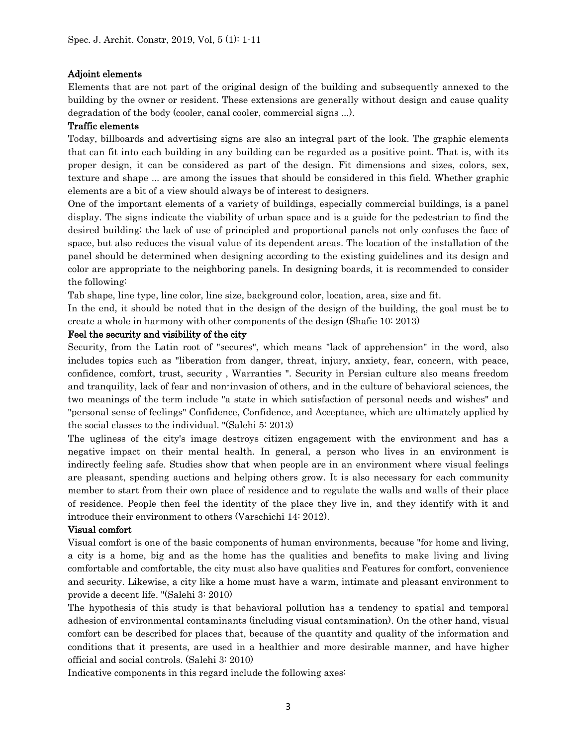#### Adjoint elements

Elements that are not part of the original design of the building and subsequently annexed to the building by the owner or resident. These extensions are generally without design and cause quality degradation of the body (cooler, canal cooler, commercial signs ...).

#### Traffic elements

Today, billboards and advertising signs are also an integral part of the look. The graphic elements that can fit into each building in any building can be regarded as a positive point. That is, with its proper design, it can be considered as part of the design. Fit dimensions and sizes, colors, sex, texture and shape ... are among the issues that should be considered in this field. Whether graphic elements are a bit of a view should always be of interest to designers.

One of the important elements of a variety of buildings, especially commercial buildings, is a panel display. The signs indicate the viability of urban space and is a guide for the pedestrian to find the desired building; the lack of use of principled and proportional panels not only confuses the face of space, but also reduces the visual value of its dependent areas. The location of the installation of the panel should be determined when designing according to the existing guidelines and its design and color are appropriate to the neighboring panels. In designing boards, it is recommended to consider the following:

Tab shape, line type, line color, line size, background color, location, area, size and fit.

In the end, it should be noted that in the design of the design of the building, the goal must be to create a whole in harmony with other components of the design (Shafie 10: 2013)

#### Feel the security and visibility of the city

Security, from the Latin root of "secures", which means "lack of apprehension" in the word, also includes topics such as "liberation from danger, threat, injury, anxiety, fear, concern, with peace, confidence, comfort, trust, security , Warranties ". Security in Persian culture also means freedom and tranquility, lack of fear and non-invasion of others, and in the culture of behavioral sciences, the two meanings of the term include "a state in which satisfaction of personal needs and wishes" and "personal sense of feelings" Confidence, Confidence, and Acceptance, which are ultimately applied by the social classes to the individual. "(Salehi 5: 2013)

The ugliness of the city's image destroys citizen engagement with the environment and has a negative impact on their mental health. In general, a person who lives in an environment is indirectly feeling safe. Studies show that when people are in an environment where visual feelings are pleasant, spending auctions and helping others grow. It is also necessary for each community member to start from their own place of residence and to regulate the walls and walls of their place of residence. People then feel the identity of the place they live in, and they identify with it and introduce their environment to others (Varschichi 14: 2012).

#### Visual comfort

Visual comfort is one of the basic components of human environments, because "for home and living, a city is a home, big and as the home has the qualities and benefits to make living and living comfortable and comfortable, the city must also have qualities and Features for comfort, convenience and security. Likewise, a city like a home must have a warm, intimate and pleasant environment to provide a decent life. "(Salehi 3: 2010)

The hypothesis of this study is that behavioral pollution has a tendency to spatial and temporal adhesion of environmental contaminants (including visual contamination). On the other hand, visual comfort can be described for places that, because of the quantity and quality of the information and conditions that it presents, are used in a healthier and more desirable manner, and have higher official and social controls. (Salehi 3: 2010)

Indicative components in this regard include the following axes: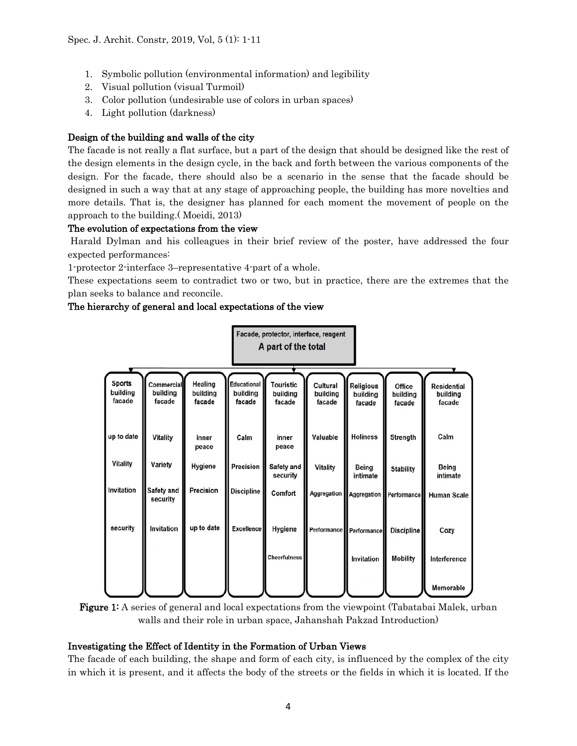- 1. Symbolic pollution (environmental information) and legibility
- 2. Visual pollution (visual Turmoil)
- 3. Color pollution (undesirable use of colors in urban spaces)
- 4. Light pollution (darkness)

## Design of the building and walls of the city

The facade is not really a flat surface, but a part of the design that should be designed like the rest of the design elements in the design cycle, in the back and forth between the various components of the design. For the facade, there should also be a scenario in the sense that the facade should be designed in such a way that at any stage of approaching people, the building has more novelties and more details. That is, the designer has planned for each moment the movement of people on the approach to the building.( Moeidi, 2013)

#### The evolution of expectations from the view

Harald Dylman and his colleagues in their brief review of the poster, have addressed the four expected performances:

1-protector 2-interface 3–representative 4-part of a whole.

These expectations seem to contradict two or two, but in practice, there are the extremes that the plan seeks to balance and reconcile.

#### The hierarchy of general and local expectations of the view

| Facade, protector, interface, reagent<br>A part of the total |                                  |                                      |                                          |                                        |                                |                                        |                              |                                          |
|--------------------------------------------------------------|----------------------------------|--------------------------------------|------------------------------------------|----------------------------------------|--------------------------------|----------------------------------------|------------------------------|------------------------------------------|
| <b>Sports</b><br>building<br>facade                          | Commercial<br>building<br>facade | <b>Healing</b><br>building<br>facade | <b>Educational</b><br>building<br>facade | <b>Touristic</b><br>building<br>facade | Cultural<br>building<br>facade | <b>Religious</b><br>building<br>facade | Office<br>building<br>facade | <b>Residential</b><br>building<br>facade |
| up to date                                                   | <b>Vitality</b>                  | inner<br>peace                       | Calm                                     | inner<br>peace                         | Valuable                       | <b>Holiness</b>                        | Strength                     | Calm                                     |
| <b>Vitality</b>                                              | Variety                          | Hygiene                              | Precision                                | Safety and<br>security                 | <b>Vitality</b>                | <b>Being</b><br>intimate               | <b>Stability</b>             | Being<br>intimate                        |
| Invitation                                                   | Safety and<br>security           | Precision                            | <b>Discipline</b>                        | Comfort                                | Aggregation                    |                                        | Aggregation Performance      | <b>Human Scale</b>                       |
| security                                                     | Invitation                       | up to date                           | <b>Excellence</b>                        | Hygiene                                |                                | Performance Performance                | <b>Discipline</b>            | Cozy                                     |
|                                                              |                                  |                                      |                                          | <b>Cheerfulness</b>                    |                                | Invitation                             | <b>Mobility</b>              | Interference                             |
|                                                              |                                  |                                      |                                          |                                        |                                |                                        |                              | Memorable                                |

## Figure 1: A series of general and local expectations from the viewpoint (Tabatabai Malek, urban walls and their role in urban space, Jahanshah Pakzad Introduction)

#### Investigating the Effect of Identity in the Formation of Urban Views

The facade of each building, the shape and form of each city, is influenced by the complex of the city in which it is present, and it affects the body of the streets or the fields in which it is located. If the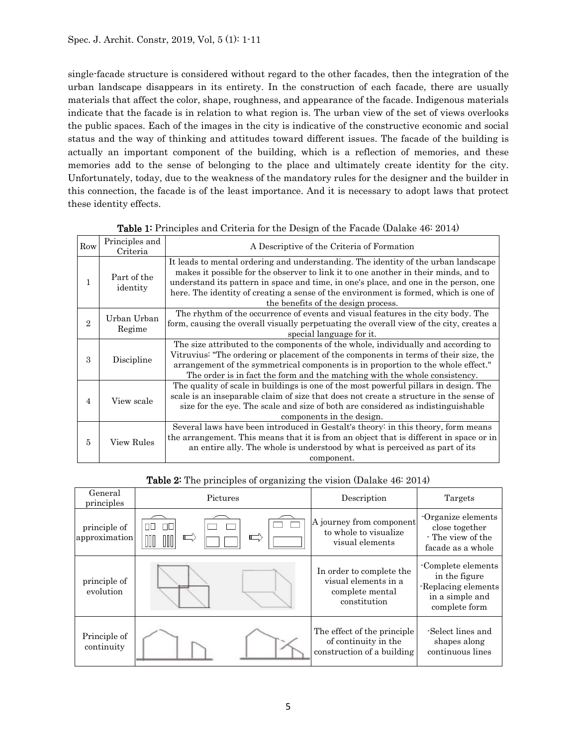single-facade structure is considered without regard to the other facades, then the integration of the urban landscape disappears in its entirety. In the construction of each facade, there are usually materials that affect the color, shape, roughness, and appearance of the facade. Indigenous materials indicate that the facade is in relation to what region is. The urban view of the set of views overlooks the public spaces. Each of the images in the city is indicative of the constructive economic and social status and the way of thinking and attitudes toward different issues. The facade of the building is actually an important component of the building, which is a reflection of memories, and these memories add to the sense of belonging to the place and ultimately create identity for the city. Unfortunately, today, due to the weakness of the mandatory rules for the designer and the builder in this connection, the facade is of the least importance. And it is necessary to adopt laws that protect these identity effects.

| Row            | Principles and<br>Criteria | A Descriptive of the Criteria of Formation                                                                                                                                                                                                                                                                                                                                                       |  |  |  |
|----------------|----------------------------|--------------------------------------------------------------------------------------------------------------------------------------------------------------------------------------------------------------------------------------------------------------------------------------------------------------------------------------------------------------------------------------------------|--|--|--|
| 1              | Part of the<br>identity    | It leads to mental ordering and understanding. The identity of the urban landscape<br>makes it possible for the observer to link it to one another in their minds, and to<br>understand its pattern in space and time, in one's place, and one in the person, one<br>here. The identity of creating a sense of the environment is formed, which is one of<br>the benefits of the design process. |  |  |  |
| $\overline{2}$ | Urban Urban<br>Regime      | The rhythm of the occurrence of events and visual features in the city body. The<br>form, causing the overall visually perpetuating the overall view of the city, creates a<br>special language for it.                                                                                                                                                                                          |  |  |  |
| 3              | Discipline                 | The size attributed to the components of the whole, individually and according to<br>Vitruvius: "The ordering or placement of the components in terms of their size, the<br>arrangement of the symmetrical components is in proportion to the whole effect."<br>The order is in fact the form and the matching with the whole consistency.                                                       |  |  |  |
| $\overline{4}$ | View scale                 | The quality of scale in buildings is one of the most powerful pillars in design. The<br>scale is an inseparable claim of size that does not create a structure in the sense of<br>size for the eye. The scale and size of both are considered as indistinguishable<br>components in the design.                                                                                                  |  |  |  |
| 5              | View Rules                 | Several laws have been introduced in Gestalt's theory: in this theory, form means<br>the arrangement. This means that it is from an object that is different in space or in<br>an entire ally. The whole is understood by what is perceived as part of its<br>component.                                                                                                                         |  |  |  |

| Table 1: Principles and Criteria for the Design of the Facade (Dalake 46: 2014) |
|---------------------------------------------------------------------------------|
|---------------------------------------------------------------------------------|

|  | Table 2: The principles of organizing the vision (Dalake 46: 2014) |  |  |  |  |
|--|--------------------------------------------------------------------|--|--|--|--|
|--|--------------------------------------------------------------------|--|--|--|--|

| General<br>principles         | Pictures        | Description                                                                         | Targets                                                                                       |
|-------------------------------|-----------------|-------------------------------------------------------------------------------------|-----------------------------------------------------------------------------------------------|
| principle of<br>approximation | ПC<br>ПΠ<br>III | A journey from component<br>to whole to visualize<br>visual elements                | -Organize elements<br>close together<br>- The view of the<br>facade as a whole                |
| principle of<br>evolution     |                 | In order to complete the<br>visual elements in a<br>complete mental<br>constitution | Complete elements<br>in the figure<br>-Replacing elements<br>in a simple and<br>complete form |
| Principle of<br>continuity    |                 | The effect of the principle<br>of continuity in the<br>construction of a building   | -Select lines and<br>shapes along<br>continuous lines                                         |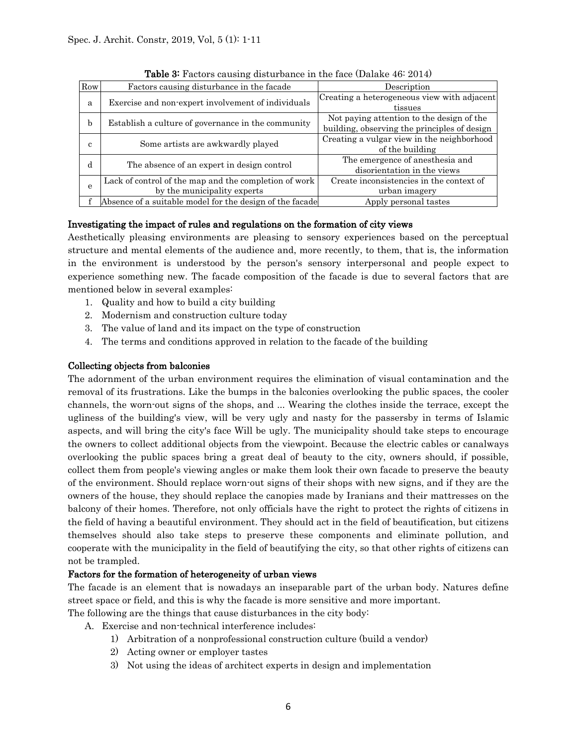| Row          | Factors causing disturbance in the facade                                            | Description                                                                               |
|--------------|--------------------------------------------------------------------------------------|-------------------------------------------------------------------------------------------|
| a            | Exercise and non-expert involvement of individuals                                   | Creating a heterogeneous view with adjacent<br>tissues                                    |
| b            | Establish a culture of governance in the community                                   | Not paying attention to the design of the<br>building, observing the principles of design |
| с            | Some artists are awkwardly played                                                    | Creating a vulgar view in the neighborhood<br>of the building                             |
| d            | The absence of an expert in design control                                           | The emergence of anesthesia and<br>disorientation in the views                            |
| $\mathbf{e}$ | Lack of control of the map and the completion of work<br>by the municipality experts | Create inconsistencies in the context of<br>urban imagery                                 |
|              | Absence of a suitable model for the design of the facade                             | Apply personal tastes                                                                     |

Table 3: Factors causing disturbance in the face (Dalake 46: 2014)

## Investigating the impact of rules and regulations on the formation of city views

Aesthetically pleasing environments are pleasing to sensory experiences based on the perceptual structure and mental elements of the audience and, more recently, to them, that is, the information in the environment is understood by the person's sensory interpersonal and people expect to experience something new. The facade composition of the facade is due to several factors that are mentioned below in several examples:

- 1. Quality and how to build a city building
- 2. Modernism and construction culture today
- 3. The value of land and its impact on the type of construction
- 4. The terms and conditions approved in relation to the facade of the building

## Collecting objects from balconies

The adornment of the urban environment requires the elimination of visual contamination and the removal of its frustrations. Like the bumps in the balconies overlooking the public spaces, the cooler channels, the worn-out signs of the shops, and ... Wearing the clothes inside the terrace, except the ugliness of the building's view, will be very ugly and nasty for the passersby in terms of Islamic aspects, and will bring the city's face Will be ugly. The municipality should take steps to encourage the owners to collect additional objects from the viewpoint. Because the electric cables or canalways overlooking the public spaces bring a great deal of beauty to the city, owners should, if possible, collect them from people's viewing angles or make them look their own facade to preserve the beauty of the environment. Should replace worn-out signs of their shops with new signs, and if they are the owners of the house, they should replace the canopies made by Iranians and their mattresses on the balcony of their homes. Therefore, not only officials have the right to protect the rights of citizens in the field of having a beautiful environment. They should act in the field of beautification, but citizens themselves should also take steps to preserve these components and eliminate pollution, and cooperate with the municipality in the field of beautifying the city, so that other rights of citizens can not be trampled.

#### Factors for the formation of heterogeneity of urban views

The facade is an element that is nowadays an inseparable part of the urban body. Natures define street space or field, and this is why the facade is more sensitive and more important.

The following are the things that cause disturbances in the city body:

- A. Exercise and non-technical interference includes:
	- 1) Arbitration of a nonprofessional construction culture (build a vendor)
	- 2) Acting owner or employer tastes
	- 3) Not using the ideas of architect experts in design and implementation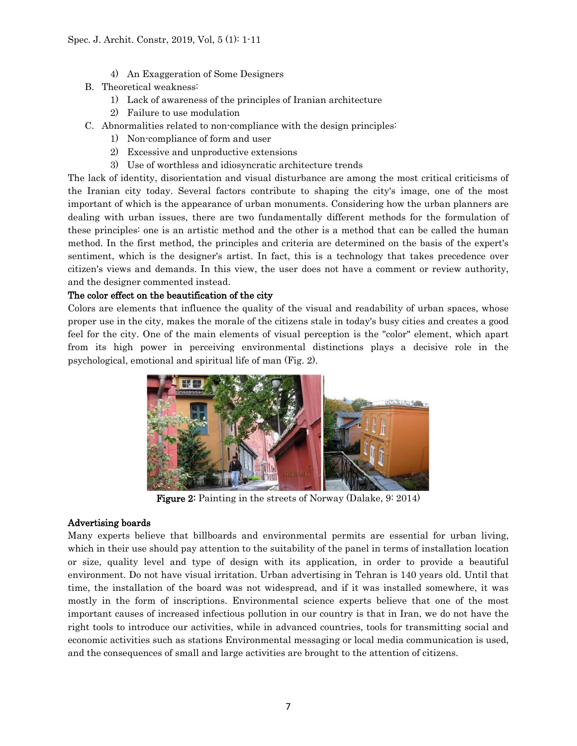- 4) An Exaggeration of Some Designers
- B. Theoretical weakness:
	- 1) Lack of awareness of the principles of Iranian architecture
	- 2) Failure to use modulation
- C. Abnormalities related to non-compliance with the design principles:
	- 1) Non-compliance of form and user
	- 2) Excessive and unproductive extensions
	- 3) Use of worthless and idiosyncratic architecture trends

The lack of identity, disorientation and visual disturbance are among the most critical criticisms of the Iranian city today. Several factors contribute to shaping the city's image, one of the most important of which is the appearance of urban monuments. Considering how the urban planners are dealing with urban issues, there are two fundamentally different methods for the formulation of these principles: one is an artistic method and the other is a method that can be called the human method. In the first method, the principles and criteria are determined on the basis of the expert's sentiment, which is the designer's artist. In fact, this is a technology that takes precedence over citizen's views and demands. In this view, the user does not have a comment or review authority, and the designer commented instead.

## The color effect on the beautification of the city

Colors are elements that influence the quality of the visual and readability of urban spaces, whose proper use in the city, makes the morale of the citizens stale in today's busy cities and creates a good feel for the city. One of the main elements of visual perception is the "color" element, which apart from its high power in perceiving environmental distinctions plays a decisive role in the psychological, emotional and spiritual life of man (Fig. 2).



Figure 2: Painting in the streets of Norway (Dalake, 9: 2014)

#### Advertising boards

Many experts believe that billboards and environmental permits are essential for urban living, which in their use should pay attention to the suitability of the panel in terms of installation location or size, quality level and type of design with its application, in order to provide a beautiful environment. Do not have visual irritation. Urban advertising in Tehran is 140 years old. Until that time, the installation of the board was not widespread, and if it was installed somewhere, it was mostly in the form of inscriptions. Environmental science experts believe that one of the most important causes of increased infectious pollution in our country is that in Iran, we do not have the right tools to introduce our activities, while in advanced countries, tools for transmitting social and economic activities such as stations Environmental messaging or local media communication is used, and the consequences of small and large activities are brought to the attention of citizens.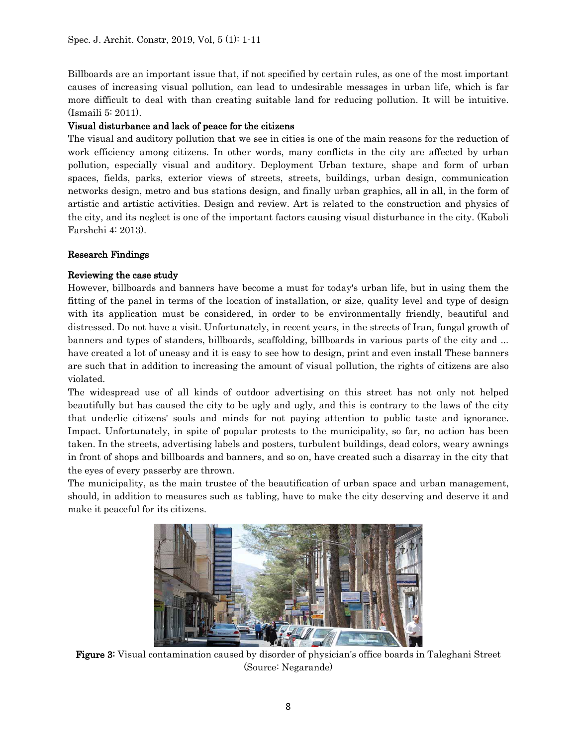Billboards are an important issue that, if not specified by certain rules, as one of the most important causes of increasing visual pollution, can lead to undesirable messages in urban life, which is far more difficult to deal with than creating suitable land for reducing pollution. It will be intuitive. (Ismaili 5: 2011).

## Visual disturbance and lack of peace for the citizens

The visual and auditory pollution that we see in cities is one of the main reasons for the reduction of work efficiency among citizens. In other words, many conflicts in the city are affected by urban pollution, especially visual and auditory. Deployment Urban texture, shape and form of urban spaces, fields, parks, exterior views of streets, streets, buildings, urban design, communication networks design, metro and bus stations design, and finally urban graphics, all in all, in the form of artistic and artistic activities. Design and review. Art is related to the construction and physics of the city, and its neglect is one of the important factors causing visual disturbance in the city. (Kaboli Farshchi 4: 2013).

## Research Findings

## Reviewing the case study

However, billboards and banners have become a must for today's urban life, but in using them the fitting of the panel in terms of the location of installation, or size, quality level and type of design with its application must be considered, in order to be environmentally friendly, beautiful and distressed. Do not have a visit. Unfortunately, in recent years, in the streets of Iran, fungal growth of banners and types of standers, billboards, scaffolding, billboards in various parts of the city and ... have created a lot of uneasy and it is easy to see how to design, print and even install These banners are such that in addition to increasing the amount of visual pollution, the rights of citizens are also violated.

The widespread use of all kinds of outdoor advertising on this street has not only not helped beautifully but has caused the city to be ugly and ugly, and this is contrary to the laws of the city that underlie citizens' souls and minds for not paying attention to public taste and ignorance. Impact. Unfortunately, in spite of popular protests to the municipality, so far, no action has been taken. In the streets, advertising labels and posters, turbulent buildings, dead colors, weary awnings in front of shops and billboards and banners, and so on, have created such a disarray in the city that the eyes of every passerby are thrown.

The municipality, as the main trustee of the beautification of urban space and urban management, should, in addition to measures such as tabling, have to make the city deserving and deserve it and make it peaceful for its citizens.



Figure 3: Visual contamination caused by disorder of physician's office boards in Taleghani Street (Source: Negarande)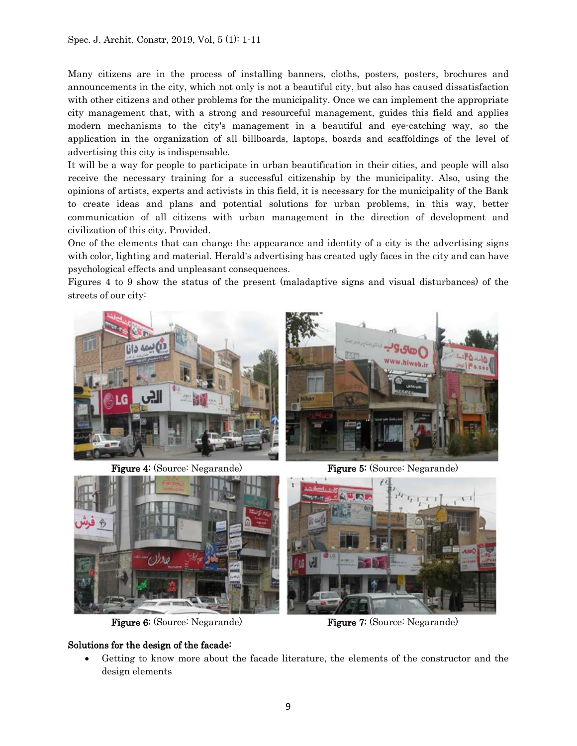Many citizens are in the process of installing banners, cloths, posters, posters, brochures and announcements in the city, which not only is not a beautiful city, but also has caused dissatisfaction with other citizens and other problems for the municipality. Once we can implement the appropriate city management that, with a strong and resourceful management, guides this field and applies modern mechanisms to the city's management in a beautiful and eye-catching way, so the application in the organization of all billboards, laptops, boards and scaffoldings of the level of advertising this city is indispensable.

It will be a way for people to participate in urban beautification in their cities, and people will also receive the necessary training for a successful citizenship by the municipality. Also, using the opinions of artists, experts and activists in this field, it is necessary for the municipality of the Bank to create ideas and plans and potential solutions for urban problems, in this way, better communication of all citizens with urban management in the direction of development and civilization of this city. Provided.

One of the elements that can change the appearance and identity of a city is the advertising signs with color, lighting and material. Herald's advertising has created ugly faces in the city and can have psychological effects and unpleasant consequences.

Figures 4 to 9 show the status of the present (maladaptive signs and visual disturbances) of the streets of our city:



Figure 4: (Source: Negarande) Figure 5: (Source: Negarande)



#### Solutions for the design of the facade:

Figure 6: (Source: Negarande) Figure 7: (Source: Negarande)

• Getting to know more about the facade literature, the elements of the constructor and the design elements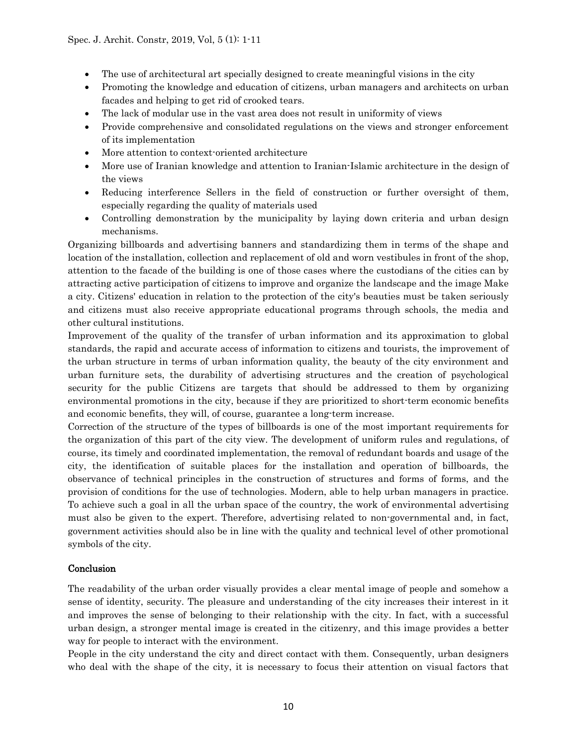- The use of architectural art specially designed to create meaningful visions in the city
- Promoting the knowledge and education of citizens, urban managers and architects on urban facades and helping to get rid of crooked tears.
- The lack of modular use in the vast area does not result in uniformity of views
- Provide comprehensive and consolidated regulations on the views and stronger enforcement of its implementation
- More attention to context-oriented architecture
- More use of Iranian knowledge and attention to Iranian-Islamic architecture in the design of the views
- Reducing interference Sellers in the field of construction or further oversight of them, especially regarding the quality of materials used
- Controlling demonstration by the municipality by laying down criteria and urban design mechanisms.

Organizing billboards and advertising banners and standardizing them in terms of the shape and location of the installation, collection and replacement of old and worn vestibules in front of the shop, attention to the facade of the building is one of those cases where the custodians of the cities can by attracting active participation of citizens to improve and organize the landscape and the image Make a city. Citizens' education in relation to the protection of the city's beauties must be taken seriously and citizens must also receive appropriate educational programs through schools, the media and other cultural institutions.

Improvement of the quality of the transfer of urban information and its approximation to global standards, the rapid and accurate access of information to citizens and tourists, the improvement of the urban structure in terms of urban information quality, the beauty of the city environment and urban furniture sets, the durability of advertising structures and the creation of psychological security for the public Citizens are targets that should be addressed to them by organizing environmental promotions in the city, because if they are prioritized to short-term economic benefits and economic benefits, they will, of course, guarantee a long-term increase.

Correction of the structure of the types of billboards is one of the most important requirements for the organization of this part of the city view. The development of uniform rules and regulations, of course, its timely and coordinated implementation, the removal of redundant boards and usage of the city, the identification of suitable places for the installation and operation of billboards, the observance of technical principles in the construction of structures and forms of forms, and the provision of conditions for the use of technologies. Modern, able to help urban managers in practice. To achieve such a goal in all the urban space of the country, the work of environmental advertising must also be given to the expert. Therefore, advertising related to non-governmental and, in fact, government activities should also be in line with the quality and technical level of other promotional symbols of the city.

## Conclusion

The readability of the urban order visually provides a clear mental image of people and somehow a sense of identity, security. The pleasure and understanding of the city increases their interest in it and improves the sense of belonging to their relationship with the city. In fact, with a successful urban design, a stronger mental image is created in the citizenry, and this image provides a better way for people to interact with the environment.

People in the city understand the city and direct contact with them. Consequently, urban designers who deal with the shape of the city, it is necessary to focus their attention on visual factors that